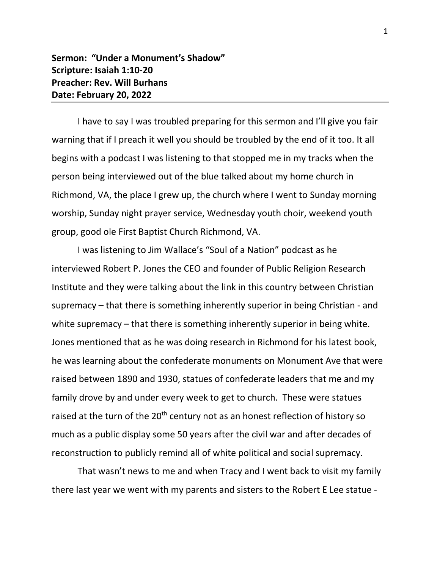## **Sermon: "Under a Monument's Shadow" Scripture: Isaiah 1:10-20 Preacher: Rev. Will Burhans Date: February 20, 2022**

I have to say I was troubled preparing for this sermon and I'll give you fair warning that if I preach it well you should be troubled by the end of it too. It all begins with a podcast I was listening to that stopped me in my tracks when the person being interviewed out of the blue talked about my home church in Richmond, VA, the place I grew up, the church where I went to Sunday morning worship, Sunday night prayer service, Wednesday youth choir, weekend youth group, good ole First Baptist Church Richmond, VA.

I was listening to Jim Wallace's "Soul of a Nation" podcast as he interviewed Robert P. Jones the CEO and founder of Public Religion Research Institute and they were talking about the link in this country between Christian supremacy – that there is something inherently superior in being Christian - and white supremacy – that there is something inherently superior in being white. Jones mentioned that as he was doing research in Richmond for his latest book, he was learning about the confederate monuments on Monument Ave that were raised between 1890 and 1930, statues of confederate leaders that me and my family drove by and under every week to get to church. These were statues raised at the turn of the 20<sup>th</sup> century not as an honest reflection of history so much as a public display some 50 years after the civil war and after decades of reconstruction to publicly remind all of white political and social supremacy.

That wasn't news to me and when Tracy and I went back to visit my family there last year we went with my parents and sisters to the Robert E Lee statue -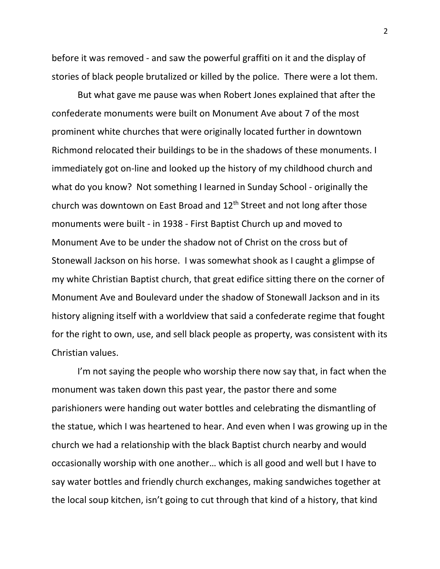before it was removed - and saw the powerful graffiti on it and the display of stories of black people brutalized or killed by the police. There were a lot them.

But what gave me pause was when Robert Jones explained that after the confederate monuments were built on Monument Ave about 7 of the most prominent white churches that were originally located further in downtown Richmond relocated their buildings to be in the shadows of these monuments. I immediately got on-line and looked up the history of my childhood church and what do you know? Not something I learned in Sunday School - originally the church was downtown on East Broad and  $12<sup>th</sup>$  Street and not long after those monuments were built - in 1938 - First Baptist Church up and moved to Monument Ave to be under the shadow not of Christ on the cross but of Stonewall Jackson on his horse. I was somewhat shook as I caught a glimpse of my white Christian Baptist church, that great edifice sitting there on the corner of Monument Ave and Boulevard under the shadow of Stonewall Jackson and in its history aligning itself with a worldview that said a confederate regime that fought for the right to own, use, and sell black people as property, was consistent with its Christian values.

I'm not saying the people who worship there now say that, in fact when the monument was taken down this past year, the pastor there and some parishioners were handing out water bottles and celebrating the dismantling of the statue, which I was heartened to hear. And even when I was growing up in the church we had a relationship with the black Baptist church nearby and would occasionally worship with one another… which is all good and well but I have to say water bottles and friendly church exchanges, making sandwiches together at the local soup kitchen, isn't going to cut through that kind of a history, that kind

2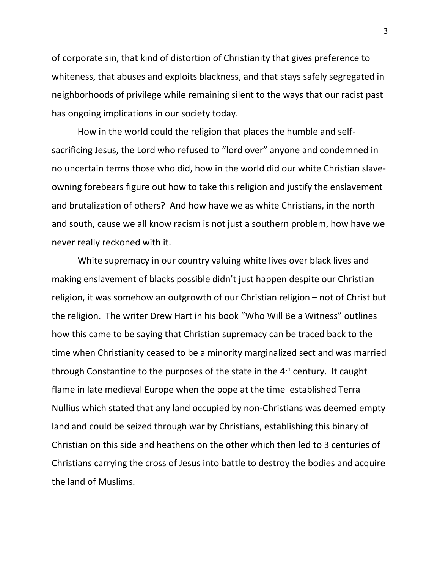of corporate sin, that kind of distortion of Christianity that gives preference to whiteness, that abuses and exploits blackness, and that stays safely segregated in neighborhoods of privilege while remaining silent to the ways that our racist past has ongoing implications in our society today.

How in the world could the religion that places the humble and selfsacrificing Jesus, the Lord who refused to "lord over" anyone and condemned in no uncertain terms those who did, how in the world did our white Christian slaveowning forebears figure out how to take this religion and justify the enslavement and brutalization of others? And how have we as white Christians, in the north and south, cause we all know racism is not just a southern problem, how have we never really reckoned with it.

White supremacy in our country valuing white lives over black lives and making enslavement of blacks possible didn't just happen despite our Christian religion, it was somehow an outgrowth of our Christian religion – not of Christ but the religion. The writer Drew Hart in his book "Who Will Be a Witness" outlines how this came to be saying that Christian supremacy can be traced back to the time when Christianity ceased to be a minority marginalized sect and was married through Constantine to the purposes of the state in the  $4<sup>th</sup>$  century. It caught flame in late medieval Europe when the pope at the time established Terra Nullius which stated that any land occupied by non-Christians was deemed empty land and could be seized through war by Christians, establishing this binary of Christian on this side and heathens on the other which then led to 3 centuries of Christians carrying the cross of Jesus into battle to destroy the bodies and acquire the land of Muslims.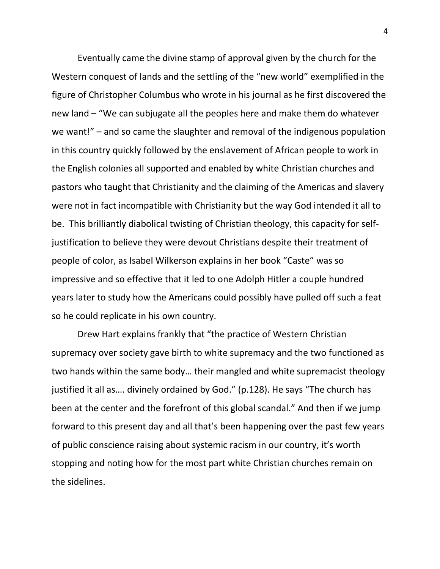Eventually came the divine stamp of approval given by the church for the Western conquest of lands and the settling of the "new world" exemplified in the figure of Christopher Columbus who wrote in his journal as he first discovered the new land – "We can subjugate all the peoples here and make them do whatever we want!" – and so came the slaughter and removal of the indigenous population in this country quickly followed by the enslavement of African people to work in the English colonies all supported and enabled by white Christian churches and pastors who taught that Christianity and the claiming of the Americas and slavery were not in fact incompatible with Christianity but the way God intended it all to be. This brilliantly diabolical twisting of Christian theology, this capacity for selfjustification to believe they were devout Christians despite their treatment of people of color, as Isabel Wilkerson explains in her book "Caste" was so impressive and so effective that it led to one Adolph Hitler a couple hundred years later to study how the Americans could possibly have pulled off such a feat so he could replicate in his own country.

Drew Hart explains frankly that "the practice of Western Christian supremacy over society gave birth to white supremacy and the two functioned as two hands within the same body… their mangled and white supremacist theology justified it all as…. divinely ordained by God." (p.128). He says "The church has been at the center and the forefront of this global scandal." And then if we jump forward to this present day and all that's been happening over the past few years of public conscience raising about systemic racism in our country, it's worth stopping and noting how for the most part white Christian churches remain on the sidelines.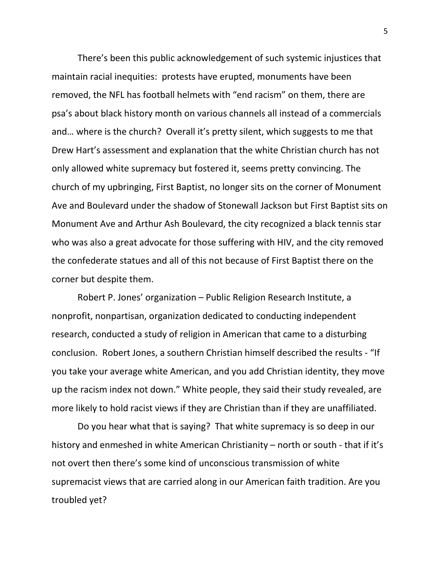There's been this public acknowledgement of such systemic injustices that maintain racial inequities: protests have erupted, monuments have been removed, the NFL has football helmets with "end racism" on them, there are psa's about black history month on various channels all instead of a commercials and… where is the church? Overall it's pretty silent, which suggests to me that Drew Hart's assessment and explanation that the white Christian church has not only allowed white supremacy but fostered it, seems pretty convincing. The church of my upbringing, First Baptist, no longer sits on the corner of Monument Ave and Boulevard under the shadow of Stonewall Jackson but First Baptist sits on Monument Ave and Arthur Ash Boulevard, the city recognized a black tennis star who was also a great advocate for those suffering with HIV, and the city removed the confederate statues and all of this not because of First Baptist there on the corner but despite them.

Robert P. Jones' organization – Public Religion Research Institute, a nonprofit, nonpartisan, organization dedicated to conducting independent research, conducted a study of religion in American that came to a disturbing conclusion. Robert Jones, a southern Christian himself described the results - "If you take your average white American, and you add Christian identity, they move up the racism index not down." White people, they said their study revealed, are more likely to hold racist views if they are Christian than if they are unaffiliated.

Do you hear what that is saying? That white supremacy is so deep in our history and enmeshed in white American Christianity – north or south - that if it's not overt then there's some kind of unconscious transmission of white supremacist views that are carried along in our American faith tradition. Are you troubled yet?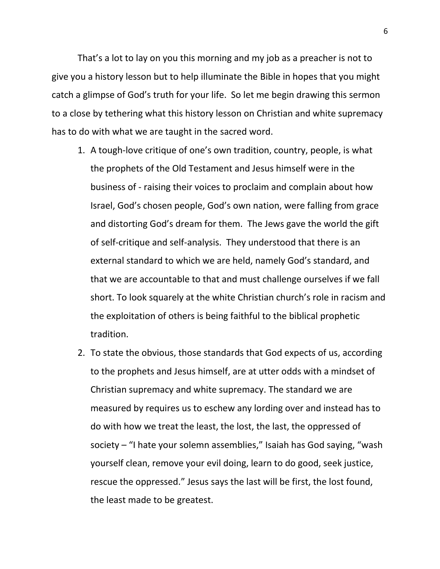That's a lot to lay on you this morning and my job as a preacher is not to give you a history lesson but to help illuminate the Bible in hopes that you might catch a glimpse of God's truth for your life. So let me begin drawing this sermon to a close by tethering what this history lesson on Christian and white supremacy has to do with what we are taught in the sacred word.

- 1. A tough-love critique of one's own tradition, country, people, is what the prophets of the Old Testament and Jesus himself were in the business of - raising their voices to proclaim and complain about how Israel, God's chosen people, God's own nation, were falling from grace and distorting God's dream for them. The Jews gave the world the gift of self-critique and self-analysis. They understood that there is an external standard to which we are held, namely God's standard, and that we are accountable to that and must challenge ourselves if we fall short. To look squarely at the white Christian church's role in racism and the exploitation of others is being faithful to the biblical prophetic tradition.
- 2. To state the obvious, those standards that God expects of us, according to the prophets and Jesus himself, are at utter odds with a mindset of Christian supremacy and white supremacy. The standard we are measured by requires us to eschew any lording over and instead has to do with how we treat the least, the lost, the last, the oppressed of society – "I hate your solemn assemblies," Isaiah has God saying, "wash yourself clean, remove your evil doing, learn to do good, seek justice, rescue the oppressed." Jesus says the last will be first, the lost found, the least made to be greatest.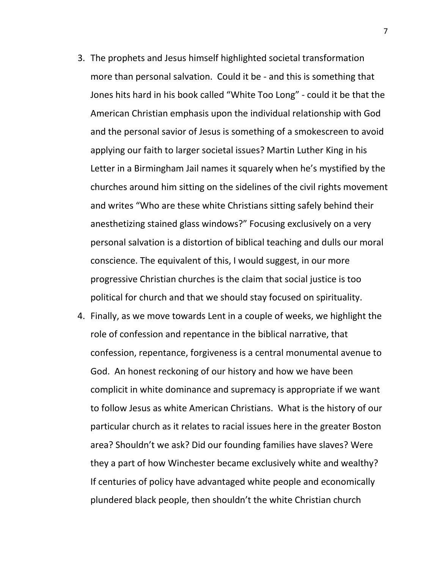- 3. The prophets and Jesus himself highlighted societal transformation more than personal salvation. Could it be - and this is something that Jones hits hard in his book called "White Too Long" - could it be that the American Christian emphasis upon the individual relationship with God and the personal savior of Jesus is something of a smokescreen to avoid applying our faith to larger societal issues? Martin Luther King in his Letter in a Birmingham Jail names it squarely when he's mystified by the churches around him sitting on the sidelines of the civil rights movement and writes "Who are these white Christians sitting safely behind their anesthetizing stained glass windows?" Focusing exclusively on a very personal salvation is a distortion of biblical teaching and dulls our moral conscience. The equivalent of this, I would suggest, in our more progressive Christian churches is the claim that social justice is too political for church and that we should stay focused on spirituality.
- 4. Finally, as we move towards Lent in a couple of weeks, we highlight the role of confession and repentance in the biblical narrative, that confession, repentance, forgiveness is a central monumental avenue to God. An honest reckoning of our history and how we have been complicit in white dominance and supremacy is appropriate if we want to follow Jesus as white American Christians. What is the history of our particular church as it relates to racial issues here in the greater Boston area? Shouldn't we ask? Did our founding families have slaves? Were they a part of how Winchester became exclusively white and wealthy? If centuries of policy have advantaged white people and economically plundered black people, then shouldn't the white Christian church